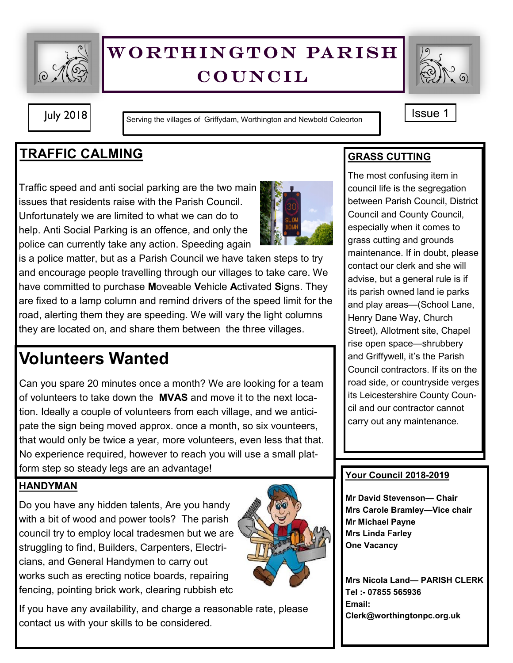

# WORTHINGTON PARISH **COUNCIL**



July 2018 Serving the villages of Griffydam, Worthington and Newbold Coleorton Superinter 1

## **TRAFFIC CALMING**

Traffic speed and anti social parking are the two main issues that residents raise with the Parish Council. Unfortunately we are limited to what we can do to help. Anti Social Parking is an offence, and only the police can currently take any action. Speeding again



is a police matter, but as a Parish Council we have taken steps to try and encourage people travelling through our villages to take care. We have committed to purchase **M**oveable **V**ehicle **A**ctivated **S**igns. They are fixed to a lamp column and remind drivers of the speed limit for the road, alerting them they are speeding. We will vary the light columns they are located on, and share them between the three villages.

# **Volunteers Wanted**

Can you spare 20 minutes once a month? We are looking for a team of volunteers to take down the **MVAS** and move it to the next location. Ideally a couple of volunteers from each village, and we anticipate the sign being moved approx. once a month, so six vounteers, that would only be twice a year, more volunteers, even less that that. No experience required, however to reach you will use a small platform step so steady legs are an advantage!

### **HANDYMAN**

Do you have any hidden talents, Are you handy with a bit of wood and power tools? The parish council try to employ local tradesmen but we are struggling to find, Builders, Carpenters, Electricians, and General Handymen to carry out works such as erecting notice boards, repairing fencing, pointing brick work, clearing rubbish etc



If you have any availability, and charge a reasonable rate, please contact us with your skills to be considered.

## **GRASS CUTTING**

The most confusing item in council life is the segregation between Parish Council, District Council and County Council, especially when it comes to grass cutting and grounds maintenance. If in doubt, please contact our clerk and she will advise, but a general rule is if its parish owned land ie parks and play areas—(School Lane, Henry Dane Way, Church Street), Allotment site, Chapel rise open space—shrubbery and Griffywell, it's the Parish Council contractors. If its on the road side, or countryside verges its Leicestershire County Council and our contractor cannot carry out any maintenance.

#### **Your Council 2018-2019**

**Mr David Stevenson— Chair Mrs Carole Bramley—Vice chair Mr Michael Payne Mrs Linda Farley One Vacancy**

**Mrs Nicola Land— PARISH CLERK Tel :- 07855 565936 Email: Clerk@worthingtonpc.org.uk**